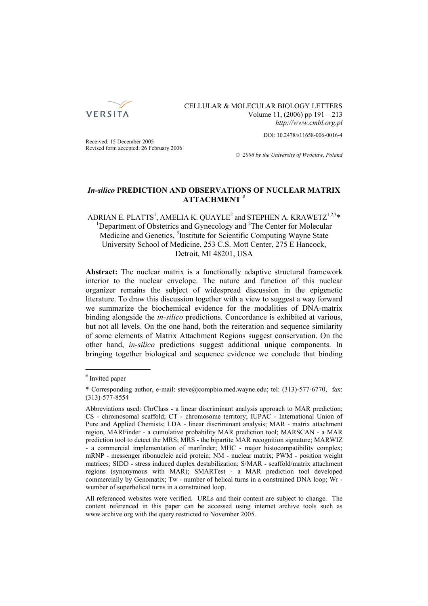

CELLULAR & MOLECULAR BIOLOGY LETTERS Volume 11, (2006) pp 191 – 213 *http://www.cmbl.org.pl*

DOI: 10.2478/s11658-006-0016-4

Received: 15 December 2005 Revised form accepted: 26 February 2006

*© 2006 by the University of Wrocław, Poland*

# *In-silico* **PREDICTION AND OBSERVATIONS OF NUCLEAR MATRIX ATTACHMENT #**

ADRIAN E. PLATTS<sup>1</sup>, AMELIA K. QUAYLE<sup>2</sup> and STEPHEN A. KRAWETZ<sup>1,2,3</sup>\* <sup>1</sup>Department of Obstetrics and Gynecology and <sup>2</sup>The Center for Molecular Medicine and Genetics, <sup>3</sup>Institute for Scientific Computing Wayne State University School of Medicine, 253 C.S. Mott Center, 275 E Hancock, Detroit, MI 48201, USA

**Abstract:** The nuclear matrix is a functionally adaptive structural framework interior to the nuclear envelope. The nature and function of this nuclear organizer remains the subject of widespread discussion in the epigenetic literature. To draw this discussion together with a view to suggest a way forward we summarize the biochemical evidence for the modalities of DNA-matrix binding alongside the *in-silico* predictions. Concordance is exhibited at various, but not all levels. On the one hand, both the reiteration and sequence similarity of some elements of Matrix Attachment Regions suggest conservation. On the other hand, *in-silico* predictions suggest additional unique components. In bringing together biological and sequence evidence we conclude that binding

<sup>#</sup> Invited paper

<sup>\*</sup> Corresponding author, e-mail: steve@compbio.med.wayne.edu; tel: (313)-577-6770, fax: (313)-577-8554

Abbreviations used: ChrClass - a linear discriminant analysis approach to MAR prediction; CS - chromosomal scaffold; CT - chromosome territory; IUPAC - International Union of Pure and Applied Chemists; LDA - linear discriminant analysis; MAR - matrix attachment region, MARFinder - a cumulative probability MAR prediction tool; MARSCAN - a MAR prediction tool to detect the MRS; MRS - the bipartite MAR recognition signature; MARWIZ - a commercial implementation of marfinder; MHC - major histocompatibility complex; mRNP - messenger ribonucleic acid protein; NM - nuclear matrix; PWM - position weight matrices; SIDD - stress induced duplex destabilization; S/MAR - scaffold/matrix attachment regions (synonymous with MAR); SMARTest - a MAR prediction tool developed commercially by Genomatix; Tw - number of helical turns in a constrained DNA loop; Wr wumber of superhelical turns in a constrained loop.

All referenced websites were verified. URLs and their content are subject to change. The content referenced in this paper can be accessed using internet archive tools such as www.archive.org with the query restricted to November 2005.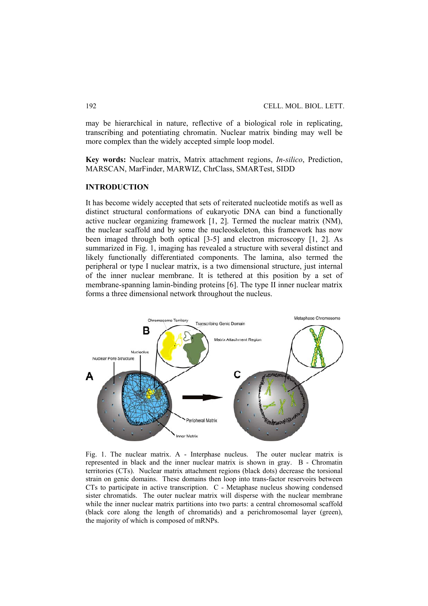may be hierarchical in nature, reflective of a biological role in replicating, transcribing and potentiating chromatin. Nuclear matrix binding may well be more complex than the widely accepted simple loop model.

**Key words:** Nuclear matrix, Matrix attachment regions, *In-silico*, Prediction, MARSCAN, MarFinder, MARWIZ, ChrClass, SMARTest, SIDD

# **INTRODUCTION**

It has become widely accepted that sets of reiterated nucleotide motifs as well as distinct structural conformations of eukaryotic DNA can bind a functionally active nuclear organizing framework [1, 2]. Termed the nuclear matrix (NM), the nuclear scaffold and by some the nucleoskeleton, this framework has now been imaged through both optical [3-5] and electron microscopy [1, 2]. As summarized in Fig. 1, imaging has revealed a structure with several distinct and likely functionally differentiated components. The lamina, also termed the peripheral or type I nuclear matrix, is a two dimensional structure, just internal of the inner nuclear membrane. It is tethered at this position by a set of membrane-spanning lamin-binding proteins [6]. The type II inner nuclear matrix forms a three dimensional network throughout the nucleus.



Fig. 1. The nuclear matrix. A - Interphase nucleus. The outer nuclear matrix is represented in black and the inner nuclear matrix is shown in gray. B - Chromatin territories (CTs). Nuclear matrix attachment regions (black dots) decrease the torsional strain on genic domains. These domains then loop into trans-factor reservoirs between CTs to participate in active transcription. C - Metaphase nucleus showing condensed sister chromatids. The outer nuclear matrix will disperse with the nuclear membrane while the inner nuclear matrix partitions into two parts: a central chromosomal scaffold (black core along the length of chromatids) and a perichromosomal layer (green), the majority of which is composed of mRNPs.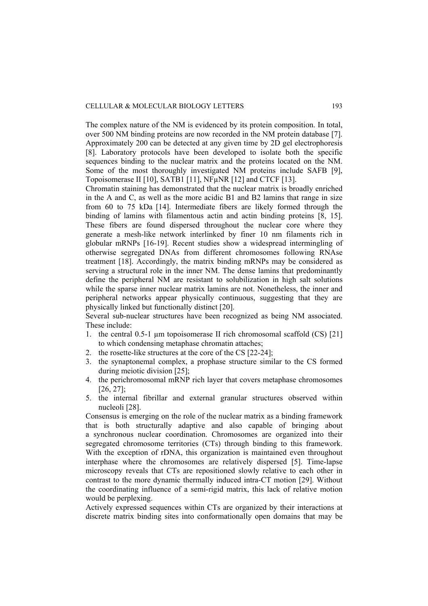The complex nature of the NM is evidenced by its protein composition. In total, over 500 NM binding proteins are now recorded in the NM protein database [7]. Approximately 200 can be detected at any given time by 2D gel electrophoresis [8]. Laboratory protocols have been developed to isolate both the specific sequences binding to the nuclear matrix and the proteins located on the NM. Some of the most thoroughly investigated NM proteins include SAFB [9], Topoisomerase II [10], SATB1 [11], NFµNR [12] and CTCF [13].

Chromatin staining has demonstrated that the nuclear matrix is broadly enriched in the A and C, as well as the more acidic B1 and B2 lamins that range in size from 60 to 75 kDa [14]. Intermediate fibers are likely formed through the binding of lamins with filamentous actin and actin binding proteins [8, 15]. These fibers are found dispersed throughout the nuclear core where they generate a mesh-like network interlinked by finer 10 nm filaments rich in globular mRNPs [16-19]. Recent studies show a widespread intermingling of otherwise segregated DNAs from different chromosomes following RNAse treatment [18]. Accordingly, the matrix binding mRNPs may be considered as serving a structural role in the inner NM. The dense lamins that predominantly define the peripheral NM are resistant to solubilization in high salt solutions while the sparse inner nuclear matrix lamins are not. Nonetheless, the inner and peripheral networks appear physically continuous, suggesting that they are physically linked but functionally distinct [20].

Several sub-nuclear structures have been recognized as being NM associated. These include:

- 1. the central 0.5-1 µm topoisomerase II rich chromosomal scaffold (CS) [21] to which condensing metaphase chromatin attaches;
- 2. the rosette-like structures at the core of the CS [22-24];
- 3. the synaptonemal complex, a prophase structure similar to the CS formed during meiotic division [25];
- 4. the perichromosomal mRNP rich layer that covers metaphase chromosomes [26, 27];
- 5. the internal fibrillar and external granular structures observed within nucleoli [28].

Consensus is emerging on the role of the nuclear matrix as a binding framework that is both structurally adaptive and also capable of bringing about a synchronous nuclear coordination. Chromosomes are organized into their segregated chromosome territories (CTs) through binding to this framework. With the exception of rDNA, this organization is maintained even throughout interphase where the chromosomes are relatively dispersed [5]. Time-lapse microscopy reveals that CTs are repositioned slowly relative to each other in contrast to the more dynamic thermally induced intra-CT motion [29]. Without the coordinating influence of a semi-rigid matrix, this lack of relative motion would be perplexing.

Actively expressed sequences within CTs are organized by their interactions at discrete matrix binding sites into conformationally open domains that may be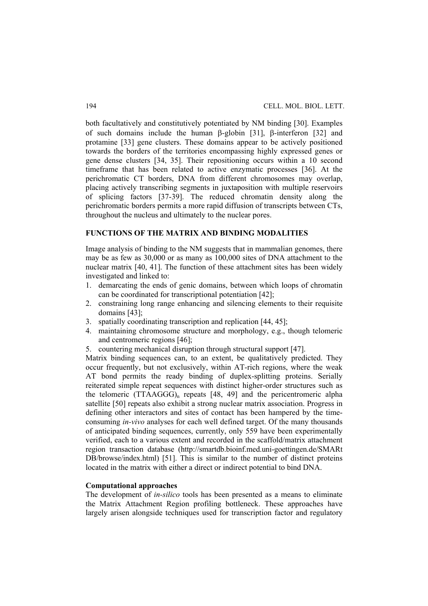both facultatively and constitutively potentiated by NM binding [30]. Examples of such domains include the human β-globin [31], β-interferon [32] and protamine [33] gene clusters. These domains appear to be actively positioned towards the borders of the territories encompassing highly expressed genes or gene dense clusters [34, 35]. Their repositioning occurs within a 10 second timeframe that has been related to active enzymatic processes [36]. At the perichromatic CT borders, DNA from different chromosomes may overlap, placing actively transcribing segments in juxtaposition with multiple reservoirs of splicing factors [37-39]. The reduced chromatin density along the perichromatic borders permits a more rapid diffusion of transcripts between CTs, throughout the nucleus and ultimately to the nuclear pores.

# **FUNCTIONS OF THE MATRIX AND BINDING MODALITIES**

Image analysis of binding to the NM suggests that in mammalian genomes, there may be as few as 30,000 or as many as 100,000 sites of DNA attachment to the nuclear matrix [40, 41]. The function of these attachment sites has been widely investigated and linked to:

- 1. demarcating the ends of genic domains, between which loops of chromatin can be coordinated for transcriptional potentiation [42];
- 2. constraining long range enhancing and silencing elements to their requisite domains [43];
- 3. spatially coordinating transcription and replication [44, 45];
- 4. maintaining chromosome structure and morphology, e.g., though telomeric and centromeric regions [46];
- 5. countering mechanical disruption through structural support [47].

Matrix binding sequences can, to an extent, be qualitatively predicted. They occur frequently, but not exclusively, within AT-rich regions, where the weak AT bond permits the ready binding of duplex-splitting proteins. Serially reiterated simple repeat sequences with distinct higher-order structures such as the telomeric  $(TTAAGGG)_{n}$  repeats [48, 49] and the pericentromeric alpha satellite [50] repeats also exhibit a strong nuclear matrix association. Progress in defining other interactors and sites of contact has been hampered by the timeconsuming *in-vivo* analyses for each well defined target. Of the many thousands of anticipated binding sequences, currently, only 559 have been experimentally verified, each to a various extent and recorded in the scaffold/matrix attachment region transaction database (http://smartdb.bioinf.med.uni-goettingen.de/SMARt DB/browse/index.html) [51]. This is similar to the number of distinct proteins located in the matrix with either a direct or indirect potential to bind DNA.

# **Computational approaches**

The development of *in-silico* tools has been presented as a means to eliminate the Matrix Attachment Region profiling bottleneck. These approaches have largely arisen alongside techniques used for transcription factor and regulatory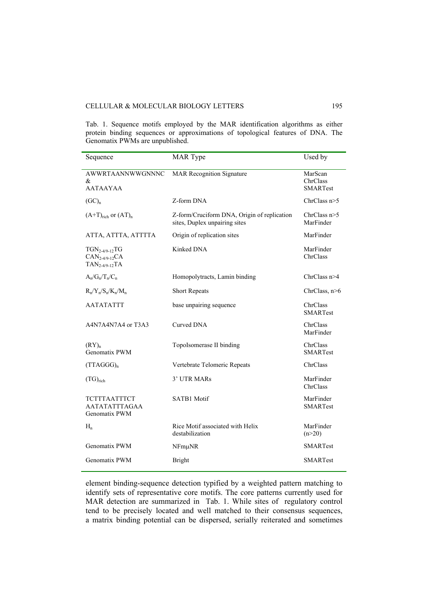#### CELLULAR & MOLECULAR BIOLOGY LETTERS 195

Tab. 1. Sequence motifs employed by the MAR identification algorithms as either protein binding sequences or approximations of topological features of DNA. The Genomatix PWMs are unpublished.

| Sequence                                                       | <b>MAR</b> Type                                                              | Used by                                |
|----------------------------------------------------------------|------------------------------------------------------------------------------|----------------------------------------|
| <b>AWWRTAANNWWGNNNC</b><br>&<br><b>AATAAYAA</b>                | <b>MAR Recognition Signature</b>                                             | MarScan<br>ChrClass<br><b>SMARTest</b> |
| (GC) <sub>n</sub>                                              | Z-form DNA                                                                   | ChrClass $n>5$                         |
| $(A+T)_{rich}$ or $(AT)_{n}$                                   | Z-form/Cruciform DNA, Origin of replication<br>sites, Duplex unpairing sites | ChrClass n>5<br>MarFinder              |
| ATTA, ATTTA, ATTTTA                                            | Origin of replication sites                                                  | MarFinder                              |
| $TGN_{2-4/9-12}TG$<br>$CAN_{2-4/9-12}CA$<br>$TAN_{2-4/9-12}TA$ | Kinked DNA                                                                   | MarFinder<br>ChrClass                  |
| $A_n/G_n/T_n/C_n$                                              | Homopolytracts, Lamin binding                                                | ChrClass n > 4                         |
| $R_n/Y_n/S_n/K_n/M_n$                                          | <b>Short Repeats</b>                                                         | ChrClass, $n>6$                        |
| <b>AATATATTT</b>                                               | base unpairing sequence                                                      | ChrClass<br><b>SMARTest</b>            |
| A4N7A4N7A4 or T3A3                                             | <b>Curved DNA</b>                                                            | ChrClass<br>MarFinder                  |
| $(RY)_n$<br>Genomatix PWM                                      | TopoIsomerase II binding                                                     | ChrClass<br><b>SMARTest</b>            |
| $(TTAGGG)_n$                                                   | Vertebrate Telomeric Repeats                                                 | ChrClass                               |
| $(TG)_{rich}$                                                  | 3' UTR MARs                                                                  | MarFinder<br>ChrClass                  |
| TCTTTAATTTCT<br>AATATATTTAGAA<br>Genomatix PWM                 | <b>SATB1</b> Motif                                                           | MarFinder<br><b>SMARTest</b>           |
| $H_n$                                                          | Rice Motif associated with Helix<br>destabilization                          | MarFinder<br>(n>20)                    |
| Genomatix PWM                                                  | NFmµNR                                                                       | SMARTest                               |
| Genomatix PWM                                                  | <b>Bright</b>                                                                | <b>SMARTest</b>                        |

element binding-sequence detection typified by a weighted pattern matching to identify sets of representative core motifs. The core patterns currently used for MAR detection are summarized in Tab. 1. While sites of regulatory control tend to be precisely located and well matched to their consensus sequences, a matrix binding potential can be dispersed, serially reiterated and sometimes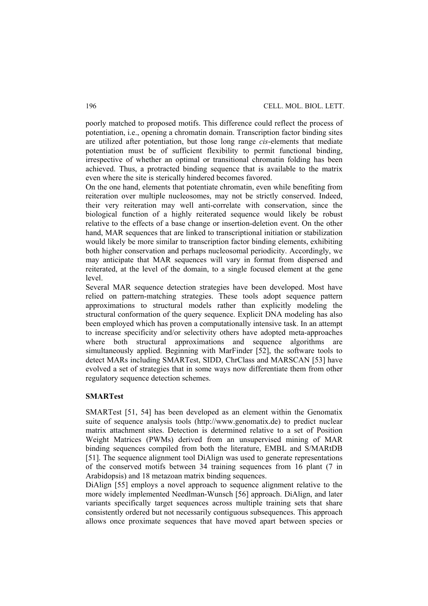poorly matched to proposed motifs. This difference could reflect the process of potentiation, i.e., opening a chromatin domain. Transcription factor binding sites are utilized after potentiation, but those long range *cis*-elements that mediate potentiation must be of sufficient flexibility to permit functional binding, irrespective of whether an optimal or transitional chromatin folding has been achieved. Thus, a protracted binding sequence that is available to the matrix even where the site is sterically hindered becomes favored.

On the one hand, elements that potentiate chromatin, even while benefiting from reiteration over multiple nucleosomes, may not be strictly conserved. Indeed, their very reiteration may well anti-correlate with conservation, since the biological function of a highly reiterated sequence would likely be robust relative to the effects of a base change or insertion-deletion event. On the other hand, MAR sequences that are linked to transcriptional initiation or stabilization would likely be more similar to transcription factor binding elements, exhibiting both higher conservation and perhaps nucleosomal periodicity. Accordingly, we may anticipate that MAR sequences will vary in format from dispersed and reiterated, at the level of the domain, to a single focused element at the gene level.

Several MAR sequence detection strategies have been developed. Most have relied on pattern-matching strategies. These tools adopt sequence pattern approximations to structural models rather than explicitly modeling the structural conformation of the query sequence. Explicit DNA modeling has also been employed which has proven a computationally intensive task. In an attempt to increase specificity and/or selectivity others have adopted meta-approaches where both structural approximations and sequence algorithms are simultaneously applied. Beginning with MarFinder [52], the software tools to detect MARs including SMARTest, SIDD, ChrClass and MARSCAN [53] have evolved a set of strategies that in some ways now differentiate them from other regulatory sequence detection schemes.

#### **SMARTest**

SMARTest [51, 54] has been developed as an element within the Genomatix suite of sequence analysis tools (http://www.genomatix.de) to predict nuclear matrix attachment sites. Detection is determined relative to a set of Position Weight Matrices (PWMs) derived from an unsupervised mining of MAR binding sequences compiled from both the literature, EMBL and S/MARtDB [51]. The sequence alignment tool DiAlign was used to generate representations of the conserved motifs between 34 training sequences from 16 plant (7 in Arabidopsis) and 18 metazoan matrix binding sequences.

DiAlign [55] employs a novel approach to sequence alignment relative to the more widely implemented Needlman-Wunsch [56] approach. DiAlign, and later variants specifically target sequences across multiple training sets that share consistently ordered but not necessarily contiguous subsequences. This approach allows once proximate sequences that have moved apart between species or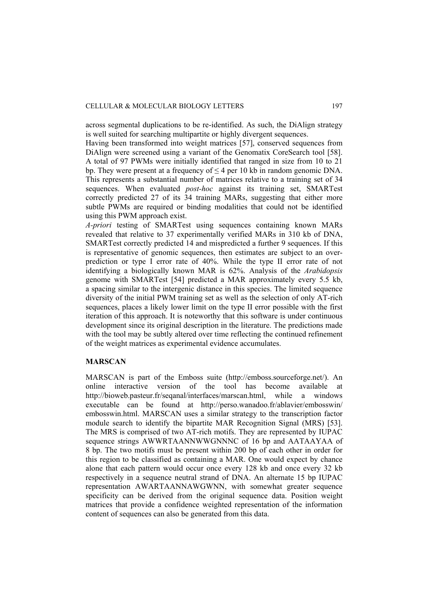# CELLULAR & MOLECULAR BIOLOGY LETTERS 197

across segmental duplications to be re-identified. As such, the DiAlign strategy is well suited for searching multipartite or highly divergent sequences.

Having been transformed into weight matrices [57], conserved sequences from DiAlign were screened using a variant of the Genomatix CoreSearch tool [58]. A total of 97 PWMs were initially identified that ranged in size from 10 to 21 bp. They were present at a frequency of  $\leq$  4 per 10 kb in random genomic DNA. This represents a substantial number of matrices relative to a training set of 34 sequences. When evaluated *post-hoc* against its training set, SMARTest correctly predicted 27 of its 34 training MARs, suggesting that either more subtle PWMs are required or binding modalities that could not be identified using this PWM approach exist.

*A-priori* testing of SMARTest using sequences containing known MARs revealed that relative to 37 experimentally verified MARs in 310 kb of DNA, SMARTest correctly predicted 14 and mispredicted a further 9 sequences. If this is representative of genomic sequences, then estimates are subject to an overprediction or type I error rate of 40%. While the type II error rate of not identifying a biologically known MAR is 62%. Analysis of the *Arabidopsis* genome with SMARTest [54] predicted a MAR approximately every 5.5 kb, a spacing similar to the intergenic distance in this species. The limited sequence diversity of the initial PWM training set as well as the selection of only AT-rich sequences, places a likely lower limit on the type II error possible with the first iteration of this approach. It is noteworthy that this software is under continuous development since its original description in the literature. The predictions made with the tool may be subtly altered over time reflecting the continued refinement of the weight matrices as experimental evidence accumulates.

#### **MARSCAN**

MARSCAN is part of the Emboss suite (http://emboss.sourceforge.net/). An online interactive version of the tool has become available at http://bioweb.pasteur.fr/seqanal/interfaces/marscan.html, while a windows executable can be found at http://perso.wanadoo.fr/ablavier/embosswin/ embosswin.html. MARSCAN uses a similar strategy to the transcription factor module search to identify the bipartite MAR Recognition Signal (MRS) [53]. The MRS is comprised of two AT-rich motifs. They are represented by IUPAC sequence strings AWWRTAANNWWGNNNC of 16 bp and AATAAYAA of 8 bp. The two motifs must be present within 200 bp of each other in order for this region to be classified as containing a MAR. One would expect by chance alone that each pattern would occur once every 128 kb and once every 32 kb respectively in a sequence neutral strand of DNA. An alternate 15 bp IUPAC representation AWARTAANNAWGWNN, with somewhat greater sequence specificity can be derived from the original sequence data. Position weight matrices that provide a confidence weighted representation of the information content of sequences can also be generated from this data.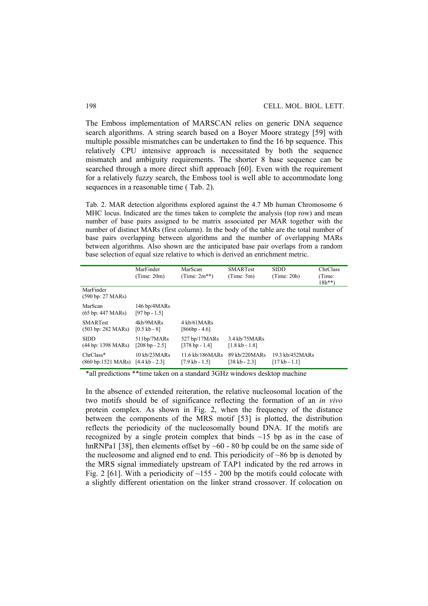The Emboss implementation of MARSCAN relies on generic DNA sequence search algorithms. A string search based on a Boyer Moore strategy [59] with multiple possible mismatches can be undertaken to find the 16 bp sequence. This relatively CPU intensive approach is necessitated by both the sequence mismatch and ambiguity requirements. The shorter 8 base sequence can be searched through a more direct shift approach [60]. Even with the requirement for a relatively fuzzy search, the Emboss tool is well able to accommodate long sequences in a reasonable time (Tab. 2).

Tab. 2. MAR detection algorithms explored against the 4.7 Mb human Chromosome 6 MHC locus. Indicated are the times taken to complete the analysis (top row) and mean number of base pairs assigned to be matrix associated per MAR together with the number of distinct MARs (first column). In the body of the table are the total number of base pairs overlapping between algorithms and the number of overlapping MARs between algorithms. Also shown are the anticipated base pair overlaps from a random base selection of equal size relative to which is derived an enrichment metric.

|                                                          | MarFinder<br>(Time: 20m)                                   | MarScan<br>$(Time: 2m**)$                                     | <b>SMARTest</b><br>(Time: 5m)                               | <b>SIDD</b><br>(Time: 20h)        | ChrClass<br>(Time:<br>$18h^{**}$ |
|----------------------------------------------------------|------------------------------------------------------------|---------------------------------------------------------------|-------------------------------------------------------------|-----------------------------------|----------------------------------|
| MarFinder<br>$(590 \text{ bp} : 27 \text{ MARS})$        |                                                            |                                                               |                                                             |                                   |                                  |
| MarScan<br>$(65 \text{ bp}$ : 447 MARs)                  | 146 bp/4MARs<br>$[97 bp - 1.5]$                            |                                                               |                                                             |                                   |                                  |
| <b>SMARTest</b><br>$(503 \text{ bp} : 282 \text{ MARS})$ | 4kb/9MARs<br>$[0.5 \text{ kb} - 8]$                        | $4 \text{ kb}/61 \text{MARs}$<br>$[866bp - 4.6]$              |                                                             |                                   |                                  |
| <b>SIDD</b><br>$(44 \text{ bp} : 1398 \text{ MARS})$     | 511bp/7MARs<br>$[208 bp - 2.5]$                            | 527 bp/17MARs<br>$[378 bp - 1.4]$                             | $3.4 \text{ kb}/75 \text{MARs}$<br>$[1.8 \text{ kb} - 1.8]$ |                                   |                                  |
| $ChrClass*$<br>$(860 \text{ bp}:1521 \text{ MARS})$      | $10 \text{ kb}/23 \text{MARs}$<br>$[4.4 \text{ kb} - 2.3]$ | $11.6 \text{ kb}/186 \text{MARs}$<br>$[7.9 \text{ kb} - 1.5]$ | 89 kb/220MARs<br>[38 kb - 2.3]                              | 19.3 kb/452MARs<br>$[17kb - 1.1]$ |                                  |

\*all predictions \*\*time taken on a standard 3GHz windows desktop machine

In the absence of extended reiteration, the relative nucleosomal location of the two motifs should be of significance reflecting the formation of an *in vivo* protein complex. As shown in Fig. 2, when the frequency of the distance between the components of the MRS motif [53] is plotted, the distribution reflects the periodicity of the nucleosomally bound DNA. If the motifs are recognized by a single protein complex that binds  $\sim$ 15 bp as in the case of hnRNPa1 [38], then elements offset by  $\sim 60$  - 80 bp could be on the same side of the nucleosome and aligned end to end. This periodicity of  $\sim 86$  bp is denoted by the MRS signal immediately upstream of TAP1 indicated by the red arrows in Fig. 2 [61]. With a periodicity of  $~155 - 200$  bp the motifs could colocate with a slightly different orientation on the linker strand crossover. If colocation on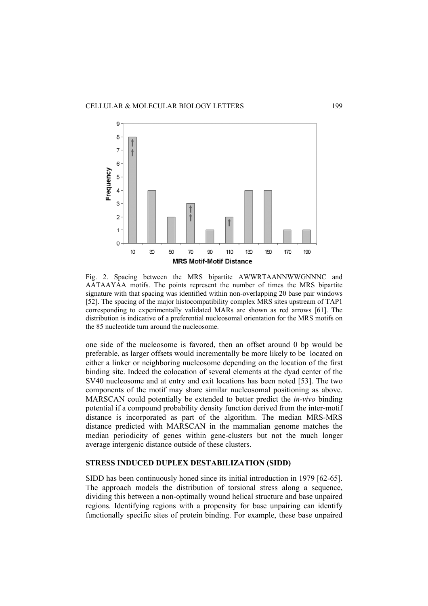

Fig. 2. Spacing between the MRS bipartite AWWRTAANNWWGNNNC and AATAAYAA motifs. The points represent the number of times the MRS bipartite signature with that spacing was identified within non-overlapping 20 base pair windows [52]. The spacing of the major histocompatibility complex MRS sites upstream of TAP1 corresponding to experimentally validated MARs are shown as red arrows [61]. The distribution is indicative of a preferential nucleosomal orientation for the MRS motifs on the 85 nucleotide turn around the nucleosome.

one side of the nucleosome is favored, then an offset around 0 bp would be preferable, as larger offsets would incrementally be more likely to be located on either a linker or neighboring nucleosome depending on the location of the first binding site. Indeed the colocation of several elements at the dyad center of the SV40 nucleosome and at entry and exit locations has been noted [53]. The two components of the motif may share similar nucleosomal positioning as above. MARSCAN could potentially be extended to better predict the *in-vivo* binding potential if a compound probability density function derived from the inter-motif distance is incorporated as part of the algorithm. The median MRS-MRS distance predicted with MARSCAN in the mammalian genome matches the median periodicity of genes within gene-clusters but not the much longer average intergenic distance outside of these clusters.

# **STRESS INDUCED DUPLEX DESTABILIZATION (SIDD)**

SIDD has been continuously honed since its initial introduction in 1979 [62-65]. The approach models the distribution of torsional stress along a sequence, dividing this between a non-optimally wound helical structure and base unpaired regions. Identifying regions with a propensity for base unpairing can identify functionally specific sites of protein binding. For example, these base unpaired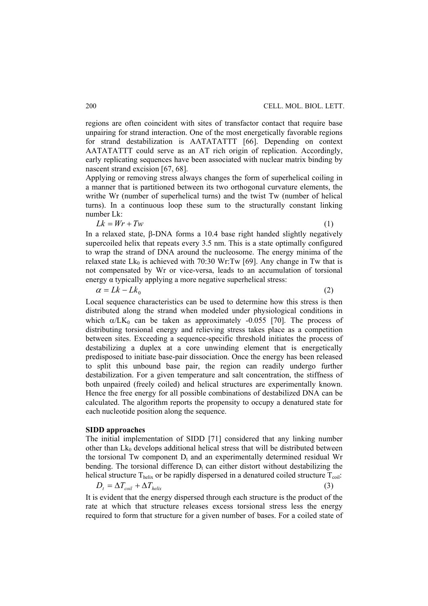regions are often coincident with sites of transfactor contact that require base unpairing for strand interaction. One of the most energetically favorable regions for strand destabilization is AATATATTT [66]. Depending on context AATATATTT could serve as an AT rich origin of replication. Accordingly, early replicating sequences have been associated with nuclear matrix binding by nascent strand excision [67, 68].

Applying or removing stress always changes the form of superhelical coiling in a manner that is partitioned between its two orthogonal curvature elements, the writhe Wr (number of superhelical turns) and the twist Tw (number of helical turns). In a continuous loop these sum to the structurally constant linking number Lk:

$$
Lk = Wr + Tw \tag{1}
$$

In a relaxed state, β-DNA forms a 10.4 base right handed slightly negatively supercoiled helix that repeats every 3.5 nm. This is a state optimally configured to wrap the strand of DNA around the nucleosome. The energy minima of the relaxed state  $Lk_0$  is achieved with 70:30 Wr:Tw [69]. Any change in Tw that is not compensated by Wr or vice-versa, leads to an accumulation of torsional energy α typically applying a more negative superhelical stress:

$$
\alpha = Lk - Lk_0 \tag{2}
$$

Local sequence characteristics can be used to determine how this stress is then distributed along the strand when modeled under physiological conditions in which  $\alpha/LK_0$  can be taken as approximately -0.055 [70]. The process of distributing torsional energy and relieving stress takes place as a competition between sites. Exceeding a sequence-specific threshold initiates the process of destabilizing a duplex at a core unwinding element that is energetically predisposed to initiate base-pair dissociation. Once the energy has been released to split this unbound base pair, the region can readily undergo further destabilization. For a given temperature and salt concentration, the stiffness of both unpaired (freely coiled) and helical structures are experimentally known. Hence the free energy for all possible combinations of destabilized DNA can be calculated. The algorithm reports the propensity to occupy a denatured state for each nucleotide position along the sequence.

#### **SIDD approaches**

The initial implementation of SIDD [71] considered that any linking number other than  $Lk_0$  develops additional helical stress that will be distributed between the torsional Tw component  $D_t$  and an experimentally determined residual Wr bending. The torsional difference  $D_t$  can either distort without destabilizing the helical structure  $T_{helix}$  or be rapidly dispersed in a denatured coiled structure  $T_{coil}$ :

$$
D_t = \Delta T_{coil} + \Delta T_{helix}
$$
\n(3)

It is evident that the energy dispersed through each structure is the product of the rate at which that structure releases excess torsional stress less the energy required to form that structure for a given number of bases. For a coiled state of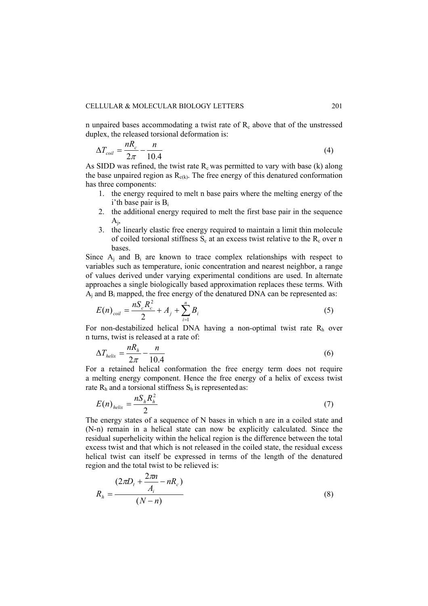n unpaired bases accommodating a twist rate of  $R<sub>c</sub>$  above that of the unstressed duplex, the released torsional deformation is:

$$
\Delta T_{coil} = \frac{nR_c}{2\pi} - \frac{n}{10.4}
$$
\n<sup>(4)</sup>

As SIDD was refined, the twist rate  $R_c$  was permitted to vary with base (k) along the base unpaired region as  $R_{c(k)}$ . The free energy of this denatured conformation has three components:

- 1. the energy required to melt n base pairs where the melting energy of the i'th base pair is Bi
- 2. the additional energy required to melt the first base pair in the sequence  $A_i$
- 3. the linearly elastic free energy required to maintain a limit thin molecule of coiled torsional stiffness  $S_c$  at an excess twist relative to the  $R_c$  over n bases.

Since  $A_i$  and  $B_i$  are known to trace complex relationships with respect to variables such as temperature, ionic concentration and nearest neighbor, a range of values derived under varying experimental conditions are used. In alternate approaches a single biologically based approximation replaces these terms. With  $\overline{A_i}$  and  $B_i$  mapped, the free energy of the denatured DNA can be represented as:

$$
E(n)_{coil} = \frac{nS_c R_c^2}{2} + A_j + \sum_{i=1}^{n} B_i
$$
 (5)

For non-destabilized helical DNA having a non-optimal twist rate  $R<sub>h</sub>$  over n turns, twist is released at a rate of:

$$
\Delta T_{helix} = \frac{nR_h}{2\pi} - \frac{n}{10.4}
$$
\n(6)

For a retained helical conformation the free energy term does not require a melting energy component. Hence the free energy of a helix of excess twist rate  $R_h$  and a torsional stiffness  $S_h$  is represented as:

$$
E(n)_{helix} = \frac{nS_h R_h^2}{2} \tag{7}
$$

The energy states of a sequence of N bases in which n are in a coiled state and (N-n) remain in a helical state can now be explicitly calculated. Since the residual superhelicity within the helical region is the difference between the total excess twist and that which is not released in the coiled state, the residual excess helical twist can itself be expressed in terms of the length of the denatured region and the total twist to be relieved is:

$$
R_{h} = \frac{(2\pi D_{t} + \frac{2\pi n}{A_{i}} - nR_{c})}{(N - n)}
$$
(8)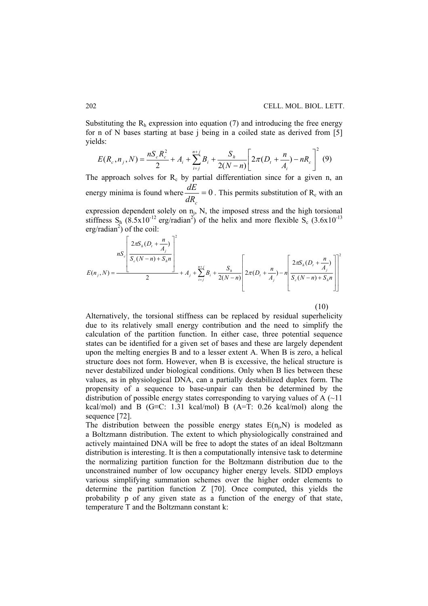Substituting the  $R_h$  expression into equation (7) and introducing the free energy for n of N bases starting at base j being in a coiled state as derived from [5] yields:<br> $\mathbf{r} \times \mathbf{p}^2$   $\mathbf{r} \cdot \mathbf{r}$   $\mathbf{r} \times \mathbf{p}^2$   $\mathbf{r} \times \mathbf{p}^2$   $\mathbf{r} \times \mathbf{p}^2$ 

$$
E(R_c, n_j, N) = \frac{nS_c R_c^2}{2} + A_i + \sum_{i=j}^{n+j} B_i + \frac{S_h}{2(N-n)} \left[ 2\pi (D_t + \frac{n}{A_i}) - nR_c \right]^2 \tag{9}
$$

The approach solves for  $R_c$  by partial differentiation since for a given n, an energy minima is found where  $\frac{dE}{dr} = 0$ *dRc*  $\frac{dE}{dE} = 0$ . This permits substitution of R<sub>c</sub> with an

expression dependent solely on  $n_i$ , N, the imposed stress and the high torsional stiffness  $S_h$  (8.5x10<sup>-12</sup> erg/radian<sup>2</sup>) of the helix and more flexible  $S_c$  (3.6x10<sup>-13</sup>) erg/radian<sup>2</sup>) of the coil:

$$
E(n_j, N) = \frac{nS_c \left[ \frac{2\pi S_h(D_t + \frac{n}{A_j})}{S_c(N-n) + S_h n} \right]^2}{2} + A_j + \sum_{i=j}^{n+j} B_i + \frac{S_h}{2(N-n)} \left[ 2\pi (D_t + \frac{n}{A_j}) - n \left[ \frac{2\pi S_h(D_t + \frac{n}{A_j})}{S_c(N-n) + S_h n} \right] \right]^2
$$

 (10) Alternatively, the torsional stiffness can be replaced by residual superhelicity due to its relatively small energy contribution and the need to simplify the calculation of the partition function. In either case, three potential sequence states can be identified for a given set of bases and these are largely dependent upon the melting energies B and to a lesser extent A. When B is zero, a helical structure does not form. However, when B is excessive, the helical structure is never destabilized under biological conditions. Only when B lies between these values, as in physiological DNA, can a partially destabilized duplex form. The propensity of a sequence to base-unpair can then be determined by the distribution of possible energy states corresponding to varying values of A  $(\sim 11$ kcal/mol) and B  $(G= C: 1.31$  kcal/mol) B  $(A=T: 0.26$  kcal/mol) along the sequence [72].

The distribution between the possible energy states  $E(n_i,N)$  is modeled as a Boltzmann distribution. The extent to which physiologically constrained and actively maintained DNA will be free to adopt the states of an ideal Boltzmann distribution is interesting. It is then a computationally intensive task to determine the normalizing partition function for the Boltzmann distribution due to the unconstrained number of low occupancy higher energy levels. SIDD employs various simplifying summation schemes over the higher order elements to determine the partition function Z [70]. Once computed, this yields the probability p of any given state as a function of the energy of that state, temperature T and the Boltzmann constant k: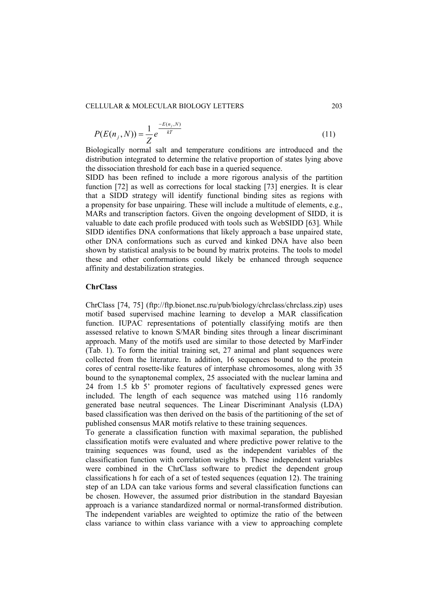#### CELLULAR & MOLECULAR BIOLOGY LETTERS 203

$$
P(E(n_j, N)) = \frac{1}{Z} e^{\frac{-E(n_j, N)}{kT}}
$$
\n(11)

Biologically normal salt and temperature conditions are introduced and the distribution integrated to determine the relative proportion of states lying above the dissociation threshold for each base in a queried sequence.

SIDD has been refined to include a more rigorous analysis of the partition function [72] as well as corrections for local stacking [73] energies. It is clear that a SIDD strategy will identify functional binding sites as regions with a propensity for base unpairing. These will include a multitude of elements, e.g., MARs and transcription factors. Given the ongoing development of SIDD, it is valuable to date each profile produced with tools such as WebSIDD [63]. While SIDD identifies DNA conformations that likely approach a base unpaired state, other DNA conformations such as curved and kinked DNA have also been shown by statistical analysis to be bound by matrix proteins. The tools to model these and other conformations could likely be enhanced through sequence affinity and destabilization strategies.

#### **ChrClass**

ChrClass [74, 75] (ftp://ftp.bionet.nsc.ru/pub/biology/chrclass/chrclass.zip) uses motif based supervised machine learning to develop a MAR classification function. IUPAC representations of potentially classifying motifs are then assessed relative to known S/MAR binding sites through a linear discriminant approach. Many of the motifs used are similar to those detected by MarFinder (Tab. 1). To form the initial training set, 27 animal and plant sequences were collected from the literature. In addition, 16 sequences bound to the protein cores of central rosette-like features of interphase chromosomes, along with 35 bound to the synaptonemal complex, 25 associated with the nuclear lamina and 24 from 1.5 kb 5' promoter regions of facultatively expressed genes were included. The length of each sequence was matched using 116 randomly generated base neutral sequences. The Linear Discriminant Analysis (LDA) based classification was then derived on the basis of the partitioning of the set of published consensus MAR motifs relative to these training sequences.

To generate a classification function with maximal separation, the published classification motifs were evaluated and where predictive power relative to the training sequences was found, used as the independent variables of the classification function with correlation weights b. These independent variables were combined in the ChrClass software to predict the dependent group classifications h for each of a set of tested sequences (equation 12). The training step of an LDA can take various forms and several classification functions can be chosen. However, the assumed prior distribution in the standard Bayesian approach is a variance standardized normal or normal-transformed distribution. The independent variables are weighted to optimize the ratio of the between class variance to within class variance with a view to approaching complete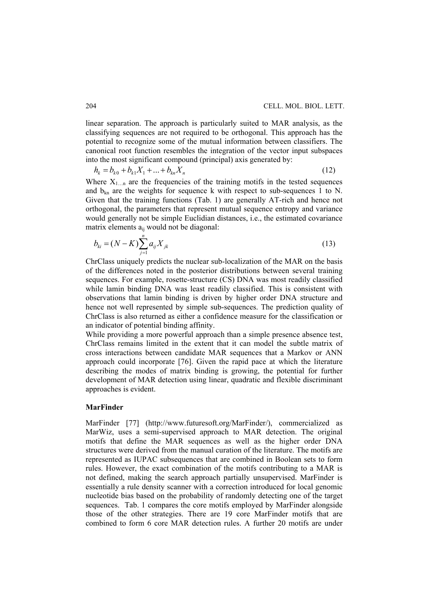linear separation. The approach is particularly suited to MAR analysis, as the classifying sequences are not required to be orthogonal. This approach has the potential to recognize some of the mutual information between classifiers. The canonical root function resembles the integration of the vector input subspaces into the most significant compound (principal) axis generated by:

$$
h_k = b_{k0} + b_{k1}X_1 + \dots + b_{kn}X_n
$$
\n(12)

Where  $X_{1...n}$  are the frequencies of the training motifs in the tested sequences and  $b_{kn}$  are the weights for sequence k with respect to sub-sequences 1 to N. Given that the training functions (Tab. 1) are generally AT-rich and hence not orthogonal, the parameters that represent mutual sequence entropy and variance would generally not be simple Euclidian distances, i.e., the estimated covariance matrix elements a<sub>ij</sub> would not be diagonal:

$$
b_{ki} = (N - K) \sum_{j=1}^{n} a_{ij} X_{jk}
$$
 (13)

ChrClass uniquely predicts the nuclear sub-localization of the MAR on the basis of the differences noted in the posterior distributions between several training sequences. For example, rosette-structure (CS) DNA was most readily classified while lamin binding DNA was least readily classified. This is consistent with observations that lamin binding is driven by higher order DNA structure and hence not well represented by simple sub-sequences. The prediction quality of ChrClass is also returned as either a confidence measure for the classification or an indicator of potential binding affinity.

While providing a more powerful approach than a simple presence absence test, ChrClass remains limited in the extent that it can model the subtle matrix of cross interactions between candidate MAR sequences that a Markov or ANN approach could incorporate [76]. Given the rapid pace at which the literature describing the modes of matrix binding is growing, the potential for further development of MAR detection using linear, quadratic and flexible discriminant approaches is evident.

# **MarFinder**

MarFinder [77] (http://www.futuresoft.org/MarFinder/), commercialized as MarWiz, uses a semi-supervised approach to MAR detection. The original motifs that define the MAR sequences as well as the higher order DNA structures were derived from the manual curation of the literature. The motifs are represented as IUPAC subsequences that are combined in Boolean sets to form rules. However, the exact combination of the motifs contributing to a MAR is not defined, making the search approach partially unsupervised. MarFinder is essentially a rule density scanner with a correction introduced for local genomic nucleotide bias based on the probability of randomly detecting one of the target sequences. Tab. 1 compares the core motifs employed by MarFinder alongside those of the other strategies. There are 19 core MarFinder motifs that are combined to form 6 core MAR detection rules. A further 20 motifs are under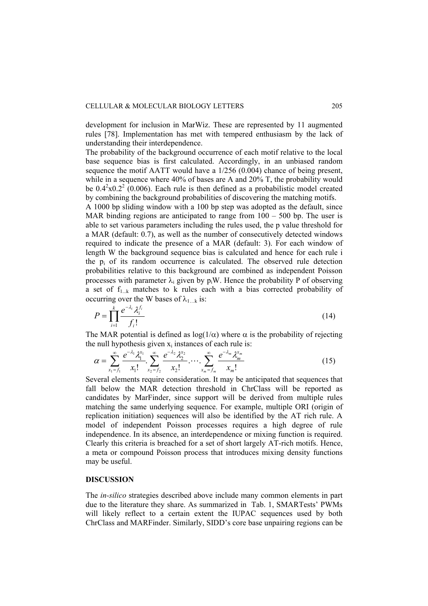development for inclusion in MarWiz. These are represented by 11 augmented rules [78]. Implementation has met with tempered enthusiasm by the lack of understanding their interdependence.

The probability of the background occurrence of each motif relative to the local base sequence bias is first calculated. Accordingly, in an unbiased random sequence the motif AATT would have a 1/256 (0.004) chance of being present, while in a sequence where  $40\%$  of bases are A and  $20\%$  T, the probability would be  $0.4^{2} \times 0.2^{2}$  (0.006). Each rule is then defined as a probabilistic model created by combining the background probabilities of discovering the matching motifs.

A 1000 bp sliding window with a 100 bp step was adopted as the default, since MAR binding regions are anticipated to range from  $100 - 500$  bp. The user is able to set various parameters including the rules used, the p value threshold for a MAR (default: 0.7), as well as the number of consecutively detected windows required to indicate the presence of a MAR (default: 3). For each window of length W the background sequence bias is calculated and hence for each rule i the  $p_i$  of its random occurrence is calculated. The observed rule detection probabilities relative to this background are combined as independent Poisson processes with parameter  $\lambda_i$  given by p<sub>i</sub>W. Hence the probability P of observing a set of  $f_{1...k}$  matches to k rules each with a bias corrected probability of occurring over the W bases of  $\lambda_{1}$  k is:

$$
P = \prod_{i=1}^{k} \frac{e^{-\lambda_i} \lambda_i^{f_i}}{f_i!}
$$
 (14)

The MAR potential is defined as  $log(1/\alpha)$  where  $\alpha$  is the probability of rejecting the null hypothesis given  $x_i$  instances of each rule is:

$$
\alpha = \sum_{x_1 = f_1}^{\infty} \frac{e^{-\lambda_1} \lambda_1^{x_1}}{x_1!} \sum_{x_2 = f_2}^{\infty} \frac{e^{-\lambda_2} \lambda_2^{x_2}}{x_2!} \cdots \sum_{x_m = f_m}^{\infty} \frac{e^{-\lambda_m} \lambda_m^{x_m}}{x_m!}
$$
(15)

Several elements require consideration. It may be anticipated that sequences that fall below the MAR detection threshold in ChrClass will be reported as candidates by MarFinder, since support will be derived from multiple rules matching the same underlying sequence. For example, multiple ORI (origin of replication initiation) sequences will also be identified by the AT rich rule. A model of independent Poisson processes requires a high degree of rule independence. In its absence, an interdependence or mixing function is required. Clearly this criteria is breached for a set of short largely AT-rich motifs. Hence, a meta or compound Poisson process that introduces mixing density functions may be useful.

# **DISCUSSION**

The *in-silico* strategies described above include many common elements in part due to the literature they share. As summarized in Tab. 1, SMARTests' PWMs will likely reflect to a certain extent the IUPAC sequences used by both ChrClass and MARFinder. Similarly, SIDD's core base unpairing regions can be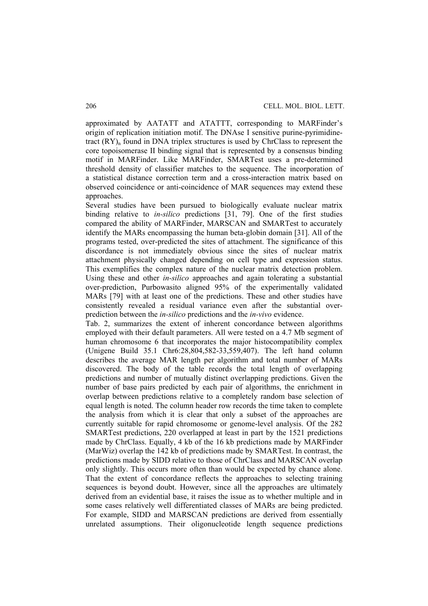approximated by AATATT and ATATTT, corresponding to MARFinder's origin of replication initiation motif. The DNAse I sensitive purine-pyrimidinetract  $(RY)$ <sub>n</sub> found in DNA triplex structures is used by ChrClass to represent the core topoisomerase II binding signal that is represented by a consensus binding motif in MARFinder. Like MARFinder, SMARTest uses a pre-determined threshold density of classifier matches to the sequence. The incorporation of a statistical distance correction term and a cross-interaction matrix based on observed coincidence or anti-coincidence of MAR sequences may extend these approaches.

Several studies have been pursued to biologically evaluate nuclear matrix binding relative to *in-silico* predictions [31, 79]. One of the first studies compared the ability of MARFinder, MARSCAN and SMARTest to accurately identify the MARs encompassing the human beta-globin domain [31]. All of the programs tested, over-predicted the sites of attachment. The significance of this discordance is not immediately obvious since the sites of nuclear matrix attachment physically changed depending on cell type and expression status. This exemplifies the complex nature of the nuclear matrix detection problem. Using these and other *in-silico* approaches and again tolerating a substantial over-prediction, Purbowasito aligned 95% of the experimentally validated MARs [79] with at least one of the predictions. These and other studies have consistently revealed a residual variance even after the substantial overprediction between the *in-silico* predictions and the *in-vivo* evidence.

Tab. 2, summarizes the extent of inherent concordance between algorithms employed with their default parameters. All were tested on a 4.7 Mb segment of human chromosome 6 that incorporates the major histocompatibility complex (Unigene Build 35.1 Chr6:28,804,582-33,559,407). The left hand column describes the average MAR length per algorithm and total number of MARs discovered. The body of the table records the total length of overlapping predictions and number of mutually distinct overlapping predictions. Given the number of base pairs predicted by each pair of algorithms, the enrichment in overlap between predictions relative to a completely random base selection of equal length is noted. The column header row records the time taken to complete the analysis from which it is clear that only a subset of the approaches are currently suitable for rapid chromosome or genome-level analysis. Of the 282 SMARTest predictions, 220 overlapped at least in part by the 1521 predictions made by ChrClass. Equally, 4 kb of the 16 kb predictions made by MARFinder (MarWiz) overlap the 142 kb of predictions made by SMARTest. In contrast, the predictions made by SIDD relative to those of ChrClass and MARSCAN overlap only slightly. This occurs more often than would be expected by chance alone. That the extent of concordance reflects the approaches to selecting training sequences is beyond doubt. However, since all the approaches are ultimately derived from an evidential base, it raises the issue as to whether multiple and in some cases relatively well differentiated classes of MARs are being predicted. For example, SIDD and MARSCAN predictions are derived from essentially unrelated assumptions. Their oligonucleotide length sequence predictions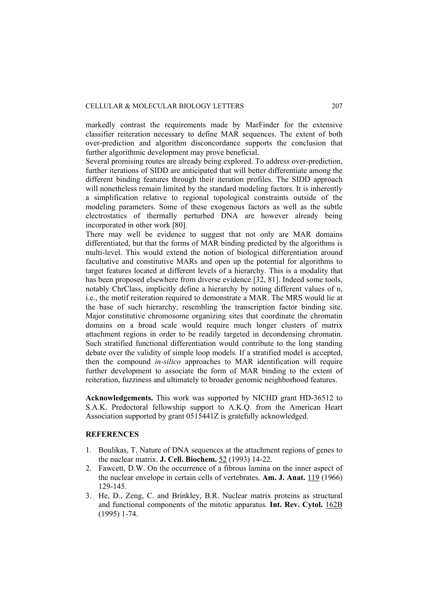markedly contrast the requirements made by MarFinder for the extensive classifier reiteration necessary to define MAR sequences. The extent of both over-prediction and algorithm disconcordance supports the conclusion that further algorithmic development may prove beneficial.

Several promising routes are already being explored. To address over-prediction, further iterations of SIDD are anticipated that will better differentiate among the different binding features through their iteration profiles. The SIDD approach will nonetheless remain limited by the standard modeling factors. It is inherently a simplification relative to regional topological constraints outside of the modeling parameters. Some of these exogenous factors as well as the subtle electrostatics of thermally perturbed DNA are however already being incorporated in other work [80].

There may well be evidence to suggest that not only are MAR domains differentiated, but that the forms of MAR binding predicted by the algorithms is multi-level. This would extend the notion of biological differentiation around facultative and constitutive MARs and open up the potential for algorithms to target features located at different levels of a hierarchy. This is a modality that has been proposed elsewhere from diverse evidence [32, 81]. Indeed some tools, notably ChrClass, implicitly define a hierarchy by noting different values of n, i.e., the motif reiteration required to demonstrate a MAR. The MRS would lie at the base of such hierarchy, resembling the transcription factor binding site. Major constitutive chromosome organizing sites that coordinate the chromatin domains on a broad scale would require much longer clusters of matrix attachment regions in order to be readily targeted in decondensing chromatin. Such stratified functional differentiation would contribute to the long standing debate over the validity of simple loop models. If a stratified model is accepted, then the compound *in-silico* approaches to MAR identification will require further development to associate the form of MAR binding to the extent of reiteration, fuzziness and ultimately to broader genomic neighborhood features.

**Acknowledgements.** This work was supported by NICHD grant HD-36512 to S.A.K. Predoctoral fellowship support to A.K.Q. from the American Heart Association supported by grant 0515441Z is gratefully acknowledged.

#### **REFERENCES**

- 1. Boulikas, T. Nature of DNA sequences at the attachment regions of genes to the nuclear matrix. **J. Cell. Biochem.** 52 (1993) 14-22.
- 2. Fawcett, D.W. On the occurrence of a fibrous lamina on the inner aspect of the nuclear envelope in certain cells of vertebrates. **Am. J. Anat.** 119 (1966) 129-145.
- 3. He, D., Zeng, C. and Brinkley, B.R. Nuclear matrix proteins as structural and functional components of the mitotic apparatus. **Int. Rev. Cytol.** 162B (1995) 1-74.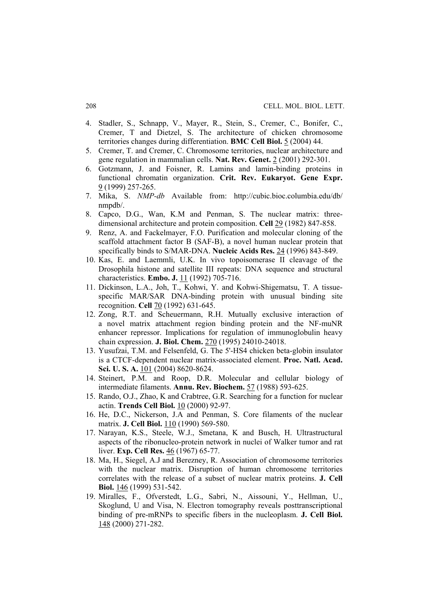- 4. Stadler, S., Schnapp, V., Mayer, R., Stein, S., Cremer, C., Bonifer, C., Cremer, T and Dietzel, S. The architecture of chicken chromosome territories changes during differentiation. **BMC Cell Biol.** 5 (2004) 44.
- 5. Cremer, T. and Cremer, C. Chromosome territories, nuclear architecture and gene regulation in mammalian cells. **Nat. Rev. Genet.** 2 (2001) 292-301.
- 6. Gotzmann, J. and Foisner, R. Lamins and lamin-binding proteins in functional chromatin organization. **Crit. Rev. Eukaryot. Gene Expr.** 9 (1999) 257-265.
- 7. Mika, S. *NMP-db* Available from: http://cubic.bioc.columbia.edu/db/ nmpdb/.
- 8. Capco, D.G., Wan, K.M and Penman, S. The nuclear matrix: threedimensional architecture and protein composition. **Cell** 29 (1982) 847-858.
- 9. Renz, A. and Fackelmayer, F.O. Purification and molecular cloning of the scaffold attachment factor B (SAF-B), a novel human nuclear protein that specifically binds to S/MAR-DNA. **Nucleic Acids Res.** 24 (1996) 843-849.
- 10. Kas, E. and Laemmli, U.K. In vivo topoisomerase II cleavage of the Drosophila histone and satellite III repeats: DNA sequence and structural characteristics. **Embo. J.** 11 (1992) 705-716.
- 11. Dickinson, L.A., Joh, T., Kohwi, Y. and Kohwi-Shigematsu, T. A tissuespecific MAR/SAR DNA-binding protein with unusual binding site recognition. **Cell** 70 (1992) 631-645.
- 12. Zong, R.T. and Scheuermann, R.H. Mutually exclusive interaction of a novel matrix attachment region binding protein and the NF-muNR enhancer repressor. Implications for regulation of immunoglobulin heavy chain expression. **J. Biol. Chem.** 270 (1995) 24010-24018.
- 13. Yusufzai, T.M. and Felsenfeld, G. The 5'-HS4 chicken beta-globin insulator is a CTCF-dependent nuclear matrix-associated element. **Proc. Natl. Acad. Sci. U. S. A.** 101 (2004) 8620-8624.
- 14. Steinert, P.M. and Roop, D.R. Molecular and cellular biology of intermediate filaments. **Annu. Rev. Biochem.** 57 (1988) 593-625.
- 15. Rando, O.J., Zhao, K and Crabtree, G.R. Searching for a function for nuclear actin. **Trends Cell Biol.** 10 (2000) 92-97.
- 16. He, D.C., Nickerson, J.A and Penman, S. Core filaments of the nuclear matrix. **J. Cell Biol.** 110 (1990) 569-580.
- 17. Narayan, K.S., Steele, W.J., Smetana, K and Busch, H. Ultrastructural aspects of the ribonucleo-protein network in nuclei of Walker tumor and rat liver. **Exp. Cell Res.** 46 (1967) 65-77.
- 18. Ma, H., Siegel, A.J and Berezney, R. Association of chromosome territories with the nuclear matrix. Disruption of human chromosome territories correlates with the release of a subset of nuclear matrix proteins. **J. Cell Biol.** 146 (1999) 531-542.
- 19. Miralles, F., Ofverstedt, L.G., Sabri, N., Aissouni, Y., Hellman, U., Skoglund, U and Visa, N. Electron tomography reveals posttranscriptional binding of pre-mRNPs to specific fibers in the nucleoplasm. **J. Cell Biol.** 148 (2000) 271-282.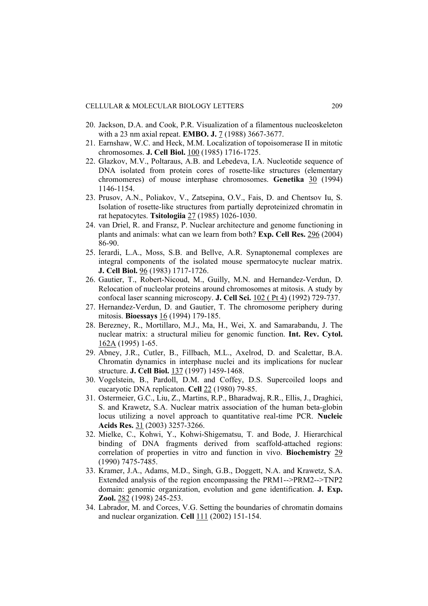- 20. Jackson, D.A. and Cook, P.R. Visualization of a filamentous nucleoskeleton with a 23 nm axial repeat. **EMBO. J.** 7 (1988) 3667-3677.
- 21. Earnshaw, W.C. and Heck, M.M. Localization of topoisomerase II in mitotic chromosomes. **J. Cell Biol.** 100 (1985) 1716-1725.
- 22. Glazkov, M.V., Poltaraus, A.B. and Lebedeva, I.A. Nucleotide sequence of DNA isolated from protein cores of rosette-like structures (elementary chromomeres) of mouse interphase chromosomes. **Genetika** 30 (1994) 1146-1154.
- 23. Prusov, A.N., Poliakov, V., Zatsepina, O.V., Fais, D. and Chentsov Iu, S. Isolation of rosette-like structures from partially deproteinized chromatin in rat hepatocytes. **Tsitologiia** 27 (1985) 1026-1030.
- 24. van Driel, R. and Fransz, P. Nuclear architecture and genome functioning in plants and animals: what can we learn from both? **Exp. Cell Res.** 296 (2004) 86-90.
- 25. Ierardi, L.A., Moss, S.B. and Bellve, A.R. Synaptonemal complexes are integral components of the isolated mouse spermatocyte nuclear matrix. **J. Cell Biol.** 96 (1983) 1717-1726.
- 26. Gautier, T., Robert-Nicoud, M., Guilly, M.N. and Hernandez-Verdun, D. Relocation of nucleolar proteins around chromosomes at mitosis. A study by confocal laser scanning microscopy. **J. Cell Sci.** 102 ( Pt 4) (1992) 729-737.
- 27. Hernandez-Verdun, D. and Gautier, T. The chromosome periphery during mitosis. **Bioessays** 16 (1994) 179-185.
- 28. Berezney, R., Mortillaro, M.J., Ma, H., Wei, X. and Samarabandu, J. The nuclear matrix: a structural milieu for genomic function. **Int. Rev. Cytol.** 162A (1995) 1-65.
- 29. Abney, J.R., Cutler, B., Fillbach, M.L., Axelrod, D. and Scalettar, B.A. Chromatin dynamics in interphase nuclei and its implications for nuclear structure. **J. Cell Biol.** 137 (1997) 1459-1468.
- 30. Vogelstein, B., Pardoll, D.M. and Coffey, D.S. Supercoiled loops and eucaryotic DNA replicaton. **Cell** 22 (1980) 79-85.
- 31. Ostermeier, G.C., Liu, Z., Martins, R.P., Bharadwaj, R.R., Ellis, J., Draghici, S. and Krawetz, S.A. Nuclear matrix association of the human beta-globin locus utilizing a novel approach to quantitative real-time PCR. **Nucleic Acids Res.** 31 (2003) 3257-3266.
- 32. Mielke, C., Kohwi, Y., Kohwi-Shigematsu, T. and Bode, J. Hierarchical binding of DNA fragments derived from scaffold-attached regions: correlation of properties in vitro and function in vivo. **Biochemistry** 29 (1990) 7475-7485.
- 33. Kramer, J.A., Adams, M.D., Singh, G.B., Doggett, N.A. and Krawetz, S.A. Extended analysis of the region encompassing the PRM1-->PRM2-->TNP2 domain: genomic organization, evolution and gene identification. **J. Exp. Zool.** 282 (1998) 245-253.
- 34. Labrador, M. and Corces, V.G. Setting the boundaries of chromatin domains and nuclear organization. **Cell** 111 (2002) 151-154.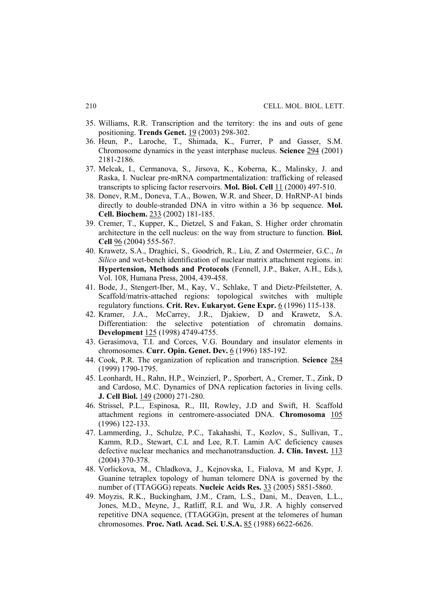- 35. Williams, R.R. Transcription and the territory: the ins and outs of gene positioning. **Trends Genet.** 19 (2003) 298-302.
- 36. Heun, P., Laroche, T., Shimada, K., Furrer, P and Gasser, S.M. Chromosome dynamics in the yeast interphase nucleus. **Science** 294 (2001) 2181-2186.
- 37. Melcak, I., Cermanova, S., Jirsova, K., Koberna, K., Malinsky, J. and Raska, I. Nuclear pre-mRNA compartmentalization: trafficking of released transcripts to splicing factor reservoirs. **Mol. Biol. Cell** 11 (2000) 497-510.
- 38. Donev, R.M., Doneva, T.A., Bowen, W.R. and Sheer, D. HnRNP-A1 binds directly to double-stranded DNA in vitro within a 36 bp sequence. **Mol. Cell. Biochem.** 233 (2002) 181-185.
- 39. Cremer, T., Kupper, K., Dietzel, S and Fakan, S. Higher order chromatin architecture in the cell nucleus: on the way from structure to function. **Biol. Cell** 96 (2004) 555-567.
- 40. Krawetz, S.A., Draghici, S., Goodrich, R., Liu, Z and Ostermeier, G.C., *In Silico* and wet-bench identification of nuclear matrix attachment regions. in: **Hypertension, Methods and Protocols** (Fennell, J.P., Baker, A.H., Eds.), Vol. 108, Humana Press, 2004, 439-458.
- 41. Bode, J., Stengert-Iber, M., Kay, V., Schlake, T and Dietz-Pfeilstetter, A. Scaffold/matrix-attached regions: topological switches with multiple regulatory functions. **Crit. Rev. Eukaryot. Gene Expr.** 6 (1996) 115-138.
- 42. Kramer, J.A., McCarrey, J.R., Djakiew, D and Krawetz, S.A. Differentiation: the selective potentiation of chromatin domains. **Development** 125 (1998) 4749-4755.
- 43. Gerasimova, T.I. and Corces, V.G. Boundary and insulator elements in chromosomes. **Curr. Opin. Genet. Dev.** 6 (1996) 185-192.
- 44. Cook, P.R. The organization of replication and transcription. **Science** 284 (1999) 1790-1795.
- 45. Leonhardt, H., Rahn, H.P., Weinzierl, P., Sporbert, A., Cremer, T., Zink, D and Cardoso, M.C. Dynamics of DNA replication factories in living cells. **J. Cell Biol.** 149 (2000) 271-280.
- 46. Strissel, P.L., Espinosa, R., III, Rowley, J.D and Swift, H. Scaffold attachment regions in centromere-associated DNA. **Chromosoma** 105 (1996) 122-133.
- 47. Lammerding, J., Schulze, P.C., Takahashi, T., Kozlov, S., Sullivan, T., Kamm, R.D., Stewart, C.L and Lee, R.T. Lamin A/C deficiency causes defective nuclear mechanics and mechanotransduction. **J. Clin. Invest.** 113 (2004) 370-378.
- 48. Vorlickova, M., Chladkova, J., Kejnovska, I., Fialova, M and Kypr, J. Guanine tetraplex topology of human telomere DNA is governed by the number of (TTAGGG) repeats. **Nucleic Acids Res.** 33 (2005) 5851-5860.
- 49. Moyzis, R.K., Buckingham, J.M., Cram, L.S., Dani, M., Deaven, L.L., Jones, M.D., Meyne, J., Ratliff, R.L and Wu, J.R. A highly conserved repetitive DNA sequence, (TTAGGG)n, present at the telomeres of human chromosomes. **Proc. Natl. Acad. Sci. U.S.A.** 85 (1988) 6622-6626.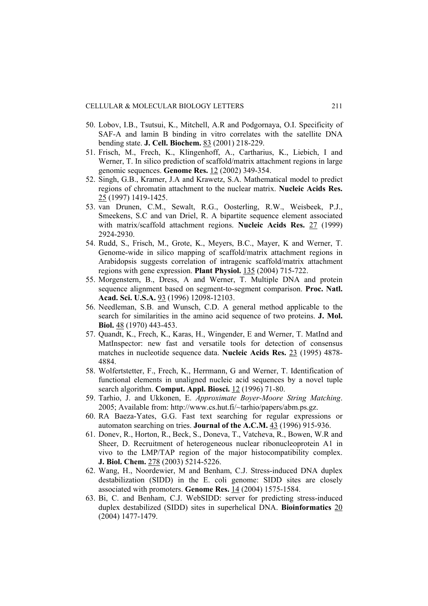- 50. Lobov, I.B., Tsutsui, K., Mitchell, A.R and Podgornaya, O.I. Specificity of SAF-A and lamin B binding in vitro correlates with the satellite DNA bending state. **J. Cell. Biochem.** 83 (2001) 218-229.
- 51. Frisch, M., Frech, K., Klingenhoff, A., Cartharius, K., Liebich, I and Werner, T. In silico prediction of scaffold/matrix attachment regions in large genomic sequences. **Genome Res.** 12 (2002) 349-354.
- 52. Singh, G.B., Kramer, J.A and Krawetz, S.A. Mathematical model to predict regions of chromatin attachment to the nuclear matrix. **Nucleic Acids Res.** 25 (1997) 1419-1425.
- 53. van Drunen, C.M., Sewalt, R.G., Oosterling, R.W., Weisbeek, P.J., Smeekens, S.C and van Driel, R. A bipartite sequence element associated with matrix/scaffold attachment regions. **Nucleic Acids Res.** 27 (1999) 2924-2930.
- 54. Rudd, S., Frisch, M., Grote, K., Meyers, B.C., Mayer, K and Werner, T. Genome-wide in silico mapping of scaffold/matrix attachment regions in Arabidopsis suggests correlation of intragenic scaffold/matrix attachment regions with gene expression. **Plant Physiol.** 135 (2004) 715-722.
- 55. Morgenstern, B., Dress, A and Werner, T. Multiple DNA and protein sequence alignment based on segment-to-segment comparison. **Proc. Natl. Acad. Sci. U.S.A.** 93 (1996) 12098-12103.
- 56. Needleman, S.B. and Wunsch, C.D. A general method applicable to the search for similarities in the amino acid sequence of two proteins. **J. Mol. Biol.** 48 (1970) 443-453.
- 57. Quandt, K., Frech, K., Karas, H., Wingender, E and Werner, T. MatInd and MatInspector: new fast and versatile tools for detection of consensus matches in nucleotide sequence data. **Nucleic Acids Res.** 23 (1995) 4878- 4884.
- 58. Wolfertstetter, F., Frech, K., Herrmann, G and Werner, T. Identification of functional elements in unaligned nucleic acid sequences by a novel tuple search algorithm. **Comput. Appl. Biosci.** 12 (1996) 71-80.
- 59. Tarhio, J. and Ukkonen, E. *Approximate Boyer-Moore String Matching*. 2005; Available from: http://www.cs.hut.fi/~tarhio/papers/abm.ps.gz.
- 60. RA Baeza-Yates, G.G. Fast text searching for regular expressions or automaton searching on tries. **Journal of the A.C.M.** 43 (1996) 915-936.
- 61. Donev, R., Horton, R., Beck, S., Doneva, T., Vatcheva, R., Bowen, W.R and Sheer, D. Recruitment of heterogeneous nuclear ribonucleoprotein A1 in vivo to the LMP/TAP region of the major histocompatibility complex. **J. Biol. Chem.** 278 (2003) 5214-5226.
- 62. Wang, H., Noordewier, M and Benham, C.J. Stress-induced DNA duplex destabilization (SIDD) in the E. coli genome: SIDD sites are closely associated with promoters. **Genome Res.** 14 (2004) 1575-1584.
- 63. Bi, C. and Benham, C.J. WebSIDD: server for predicting stress-induced duplex destabilized (SIDD) sites in superhelical DNA. **Bioinformatics** 20 (2004) 1477-1479.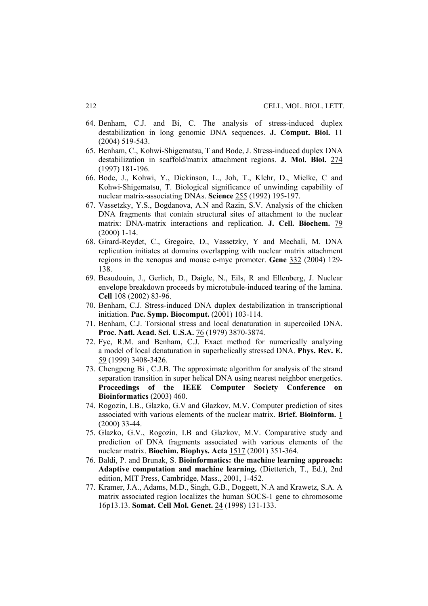- 64. Benham, C.J. and Bi, C. The analysis of stress-induced duplex destabilization in long genomic DNA sequences. **J. Comput. Biol.** 11 (2004) 519-543.
- 65. Benham, C., Kohwi-Shigematsu, T and Bode, J. Stress-induced duplex DNA destabilization in scaffold/matrix attachment regions. **J. Mol. Biol.** 274 (1997) 181-196.
- 66. Bode, J., Kohwi, Y., Dickinson, L., Joh, T., Klehr, D., Mielke, C and Kohwi-Shigematsu, T. Biological significance of unwinding capability of nuclear matrix-associating DNAs. **Science** 255 (1992) 195-197.
- 67. Vassetzky, Y.S., Bogdanova, A.N and Razin, S.V. Analysis of the chicken DNA fragments that contain structural sites of attachment to the nuclear matrix: DNA-matrix interactions and replication. **J. Cell. Biochem.** 79 (2000) 1-14.
- 68. Girard-Reydet, C., Gregoire, D., Vassetzky, Y and Mechali, M. DNA replication initiates at domains overlapping with nuclear matrix attachment regions in the xenopus and mouse c-myc promoter. **Gene** 332 (2004) 129- 138.
- 69. Beaudouin, J., Gerlich, D., Daigle, N., Eils, R and Ellenberg, J. Nuclear envelope breakdown proceeds by microtubule-induced tearing of the lamina. **Cell** 108 (2002) 83-96.
- 70. Benham, C.J. Stress-induced DNA duplex destabilization in transcriptional initiation. **Pac. Symp. Biocomput.** (2001) 103-114.
- 71. Benham, C.J. Torsional stress and local denaturation in supercoiled DNA. **Proc. Natl. Acad. Sci. U.S.A.** 76 (1979) 3870-3874.
- 72. Fye, R.M. and Benham, C.J. Exact method for numerically analyzing a model of local denaturation in superhelically stressed DNA. **Phys. Rev. E.** 59 (1999) 3408-3426.
- 73. Chengpeng Bi , C.J.B. The approximate algorithm for analysis of the strand separation transition in super helical DNA using nearest neighbor energetics. **Proceedings of the IEEE Computer Society Conference on Bioinformatics** (2003) 460.
- 74. Rogozin, I.B., Glazko, G.V and Glazkov, M.V. Computer prediction of sites associated with various elements of the nuclear matrix. **Brief. Bioinform.** 1 (2000) 33-44.
- 75. Glazko, G.V., Rogozin, I.B and Glazkov, M.V. Comparative study and prediction of DNA fragments associated with various elements of the nuclear matrix. **Biochim. Biophys. Acta** 1517 (2001) 351-364.
- 76. Baldi, P. and Brunak, S. **Bioinformatics: the machine learning approach: Adaptive computation and machine learning.** (Dietterich, T., Ed.), 2nd edition, MIT Press, Cambridge, Mass., 2001, 1-452.
- 77. Kramer, J.A., Adams, M.D., Singh, G.B., Doggett, N.A and Krawetz, S.A. A matrix associated region localizes the human SOCS-1 gene to chromosome 16p13.13. **Somat. Cell Mol. Genet.** 24 (1998) 131-133.